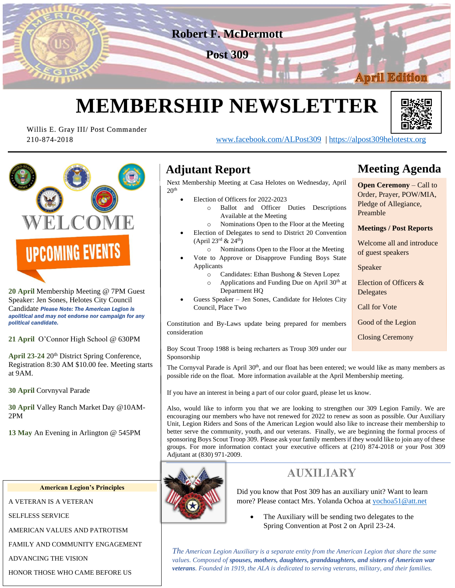

# **MEMBERSHIP NEWSLETTER**



210-874-2018 [www.facebook.com/ALPost309](http://www.facebook.com/ALPost309) | [https://alpost309helotestx.org](https://alpost309helotestx.org/)



Willis E. Gray III/ Post Commander

**20 April** Membership Meeting @ 7PM Guest Speaker: Jen Sones, Helotes City Council Candidate *Please Note: The American Legion is apolitical and may not endorse nor campaign for any political candidate.*

**21 April** O'Connor High School @ 630PM

April 23-24 20<sup>th</sup> District Spring Conference, Registration 8:30 AM \$10.00 fee. Meeting starts at 9AM.

**30 April** Corvnyval Parade

**30 April** Valley Ranch Market Day @10AM-2PM

**13 May** An Evening in Arlington @ 545PM

#### **American Legion's Principles**

A VETERAN IS A VETERAN

SELFLESS SERVICE

AMERICAN VALUES AND PATROTISM

FAMILY AND COMMUNITY ENGAGEMENT

ADVANCING THE VISION

HONOR THOSE WHO CAME BEFORE US

## **Adjutant Report**

Next Membership Meeting at Casa Helotes on Wednesday, April  $20<sup>th</sup>$ 

- Election of Officers for 2022-2023
	- o Ballot and Officer Duties Descriptions Available at the Meeting
	- o Nominations Open to the Floor at the Meeting
- Election of Delegates to send to District 20 Convention  $(April 23<sup>rd</sup> & 24<sup>th</sup>)$ 
	- o Nominations Open to the Floor at the Meeting
- Vote to Approve or Disapprove Funding Boys State Applicants
	- o Candidates: Ethan Bushong & Steven Lopez
	- $\circ$  Applications and Funding Due on April 30<sup>th</sup> at Department HQ
- Guess Speaker Jen Sones, Candidate for Helotes City Council, Place Two

Constitution and By-Laws update being prepared for members consideration

## **Meeting Agenda**

**Open Ceremony** – Call to Order, Prayer, POW/MIA, Pledge of Allegiance, Preamble

#### **Meetings / Post Reports**

Welcome all and introduce of guest speakers

Speaker

Election of Officers & **Delegates** 

Call for Vote

Good of the Legion

Closing Ceremony

Boy Scout Troop 1988 is being recharters as Troup 309 under our Sponsorship

The Cornyval Parade is April  $30<sup>th</sup>$ , and our float has been entered; we would like as many members as possible ride on the float. More information available at the April Membership meeting.

If you have an interest in being a part of our color guard, please let us know.

Also, would like to inform you that we are looking to strengthen our 309 Legion Family. We are encouraging our members who have not renewed for 2022 to renew as soon as possible. Our Auxiliary Unit, Legion Riders and Sons of the American Legion would also like to increase their membership to better serve the community, youth, and our veterans. Finally, we are beginning the formal process of sponsoring Boys Scout Troop 309. Please ask your family members if they would like to join any of these groups. For more information contact your executive officers at (210) 874-2018 or your Post 309 Adjutant at (830) 971-2009.



### **AUXILIARY**

Did you know that Post 309 has an auxiliary unit? Want to learn more? Please contact Mrs. Yolanda Ochoa a[t yochoa51@att.net](mailto:yochoa51@att.net)

• The Auxiliary will be sending two delegates to the Spring Convention at Post 2 on April 23-24.

*The American Legion Auxiliary is a separate entity from the American Legion that share the same values. Composed of spouses, mothers, daughters, granddaughters, and sisters of American war veterans. Founded in 1919, the ALA is dedicated to serving veterans, military, and their families.*